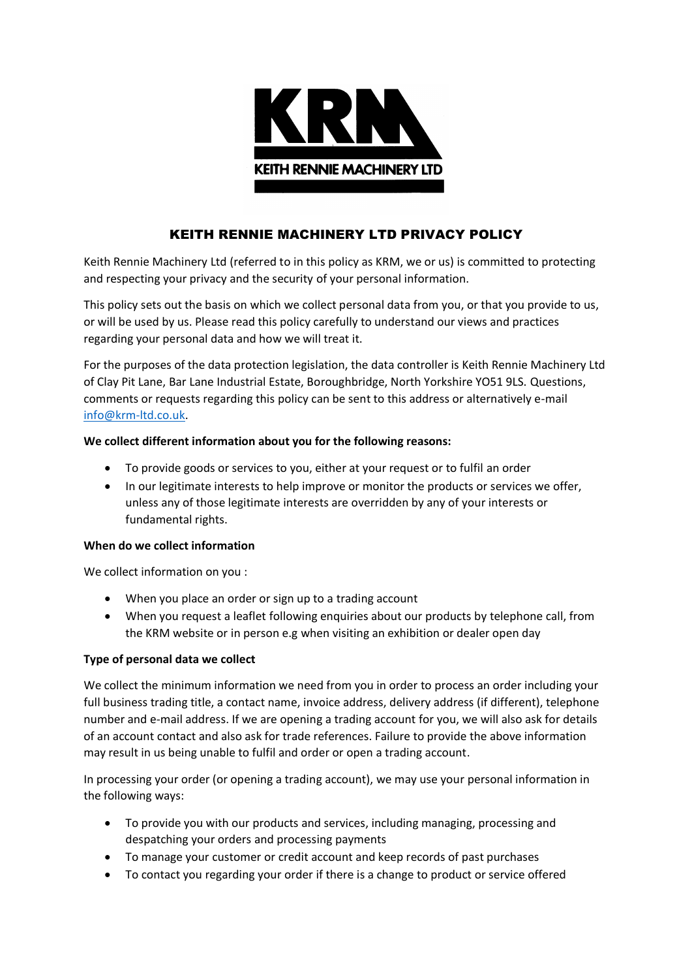

# KEITH RENNIE MACHINERY LTD PRIVACY POLICY

Keith Rennie Machinery Ltd (referred to in this policy as KRM, we or us) is committed to protecting and respecting your privacy and the security of your personal information.

This policy sets out the basis on which we collect personal data from you, or that you provide to us, or will be used by us. Please read this policy carefully to understand our views and practices regarding your personal data and how we will treat it.

For the purposes of the data protection legislation, the data controller is Keith Rennie Machinery Ltd of Clay Pit Lane, Bar Lane Industrial Estate, Boroughbridge, North Yorkshire YO51 9LS. Questions, comments or requests regarding this policy can be sent to this address or alternatively e-mail [info@krm-ltd.co.uk.](mailto:info@krm-ltd.co.uk)

# **We collect different information about you for the following reasons:**

- To provide goods or services to you, either at your request or to fulfil an order
- In our legitimate interests to help improve or monitor the products or services we offer, unless any of those legitimate interests are overridden by any of your interests or fundamental rights.

# **When do we collect information**

We collect information on you :

- When you place an order or sign up to a trading account
- When you request a leaflet following enquiries about our products by telephone call, from the KRM website or in person e.g when visiting an exhibition or dealer open day

# **Type of personal data we collect**

We collect the minimum information we need from you in order to process an order including your full business trading title, a contact name, invoice address, delivery address (if different), telephone number and e-mail address. If we are opening a trading account for you, we will also ask for details of an account contact and also ask for trade references. Failure to provide the above information may result in us being unable to fulfil and order or open a trading account.

In processing your order (or opening a trading account), we may use your personal information in the following ways:

- To provide you with our products and services, including managing, processing and despatching your orders and processing payments
- To manage your customer or credit account and keep records of past purchases
- To contact you regarding your order if there is a change to product or service offered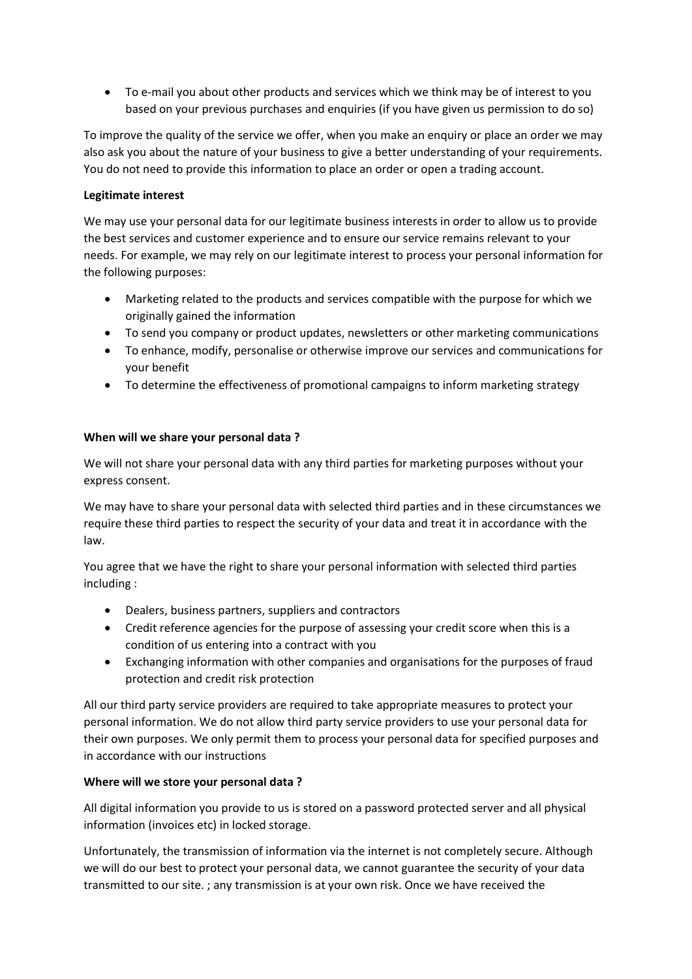To e-mail you about other products and services which we think may be of interest to you based on your previous purchases and enquiries (if you have given us permission to do so)

To improve the quality of the service we offer, when you make an enquiry or place an order we may also ask you about the nature of your business to give a better understanding of your requirements. You do not need to provide this information to place an order or open a trading account.

## **Legitimate interest**

We may use your personal data for our legitimate business interests in order to allow us to provide the best services and customer experience and to ensure our service remains relevant to your needs. For example, we may rely on our legitimate interest to process your personal information for the following purposes:

- Marketing related to the products and services compatible with the purpose for which we originally gained the information
- To send you company or product updates, newsletters or other marketing communications
- To enhance, modify, personalise or otherwise improve our services and communications for your benefit
- To determine the effectiveness of promotional campaigns to inform marketing strategy

## **When will we share your personal data ?**

We will not share your personal data with any third parties for marketing purposes without your express consent.

We may have to share your personal data with selected third parties and in these circumstances we require these third parties to respect the security of your data and treat it in accordance with the law.

You agree that we have the right to share your personal information with selected third parties including :

- Dealers, business partners, suppliers and contractors
- Credit reference agencies for the purpose of assessing your credit score when this is a condition of us entering into a contract with you
- Exchanging information with other companies and organisations for the purposes of fraud protection and credit risk protection

All our third party service providers are required to take appropriate measures to protect your personal information. We do not allow third party service providers to use your personal data for their own purposes. We only permit them to process your personal data for specified purposes and in accordance with our instructions

#### **Where will we store your personal data ?**

All digital information you provide to us is stored on a password protected server and all physical information (invoices etc) in locked storage.

Unfortunately, the transmission of information via the internet is not completely secure. Although we will do our best to protect your personal data, we cannot guarantee the security of your data transmitted to our site. ; any transmission is at your own risk. Once we have received the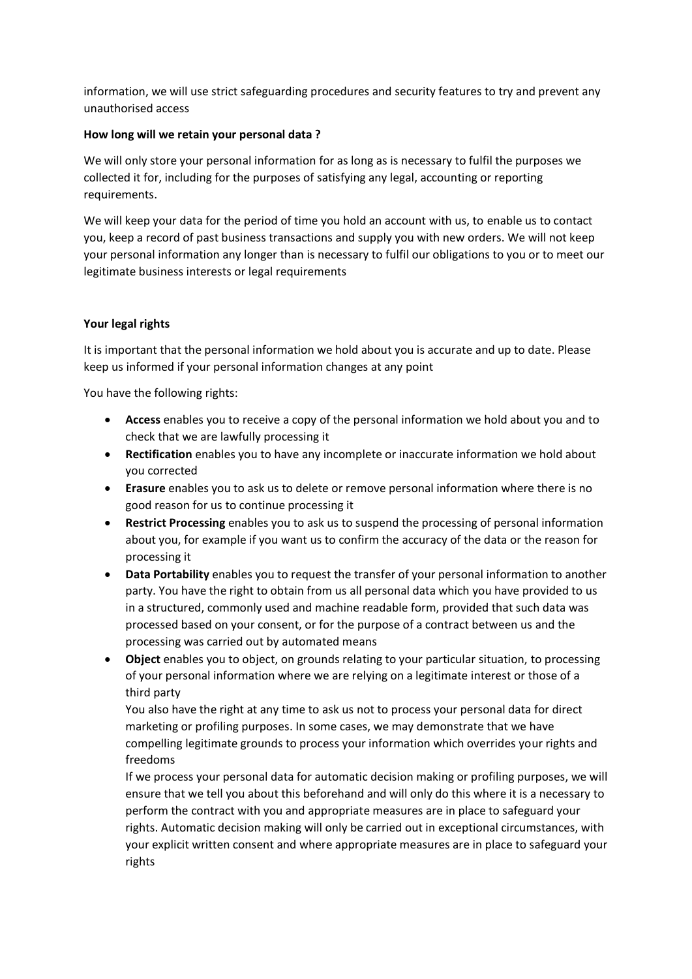information, we will use strict safeguarding procedures and security features to try and prevent any unauthorised access

## **How long will we retain your personal data ?**

We will only store your personal information for as long as is necessary to fulfil the purposes we collected it for, including for the purposes of satisfying any legal, accounting or reporting requirements.

We will keep your data for the period of time you hold an account with us, to enable us to contact you, keep a record of past business transactions and supply you with new orders. We will not keep your personal information any longer than is necessary to fulfil our obligations to you or to meet our legitimate business interests or legal requirements

## **Your legal rights**

It is important that the personal information we hold about you is accurate and up to date. Please keep us informed if your personal information changes at any point

You have the following rights:

- **Access** enables you to receive a copy of the personal information we hold about you and to check that we are lawfully processing it
- **Rectification** enables you to have any incomplete or inaccurate information we hold about you corrected
- **Erasure** enables you to ask us to delete or remove personal information where there is no good reason for us to continue processing it
- **Restrict Processing** enables you to ask us to suspend the processing of personal information about you, for example if you want us to confirm the accuracy of the data or the reason for processing it
- **Data Portability** enables you to request the transfer of your personal information to another party. You have the right to obtain from us all personal data which you have provided to us in a structured, commonly used and machine readable form, provided that such data was processed based on your consent, or for the purpose of a contract between us and the processing was carried out by automated means
- **Object** enables you to object, on grounds relating to your particular situation, to processing of your personal information where we are relying on a legitimate interest or those of a third party

You also have the right at any time to ask us not to process your personal data for direct marketing or profiling purposes. In some cases, we may demonstrate that we have compelling legitimate grounds to process your information which overrides your rights and freedoms

If we process your personal data for automatic decision making or profiling purposes, we will ensure that we tell you about this beforehand and will only do this where it is a necessary to perform the contract with you and appropriate measures are in place to safeguard your rights. Automatic decision making will only be carried out in exceptional circumstances, with your explicit written consent and where appropriate measures are in place to safeguard your rights